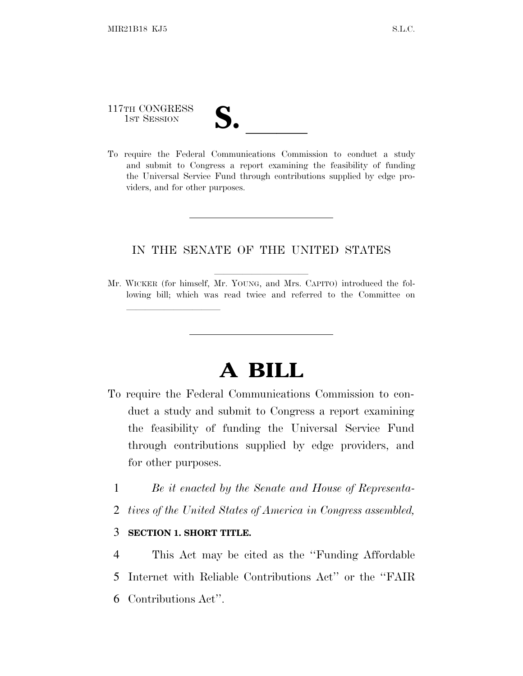117TH CONGRESS

lland and a state of the state of the state of the state of the state of the state of the state of the state o

117TH CONGRESS<br>
1ST SESSION<br>
To require the Federal Communications Commission to conduct a study and submit to Congress a report examining the feasibility of funding the Universal Service Fund through contributions supplied by edge providers, and for other purposes.

## IN THE SENATE OF THE UNITED STATES

Mr. WICKER (for himself, Mr. YOUNG, and Mrs. CAPITO) introduced the following bill; which was read twice and referred to the Committee on

## **A BILL**

- To require the Federal Communications Commission to conduct a study and submit to Congress a report examining the feasibility of funding the Universal Service Fund through contributions supplied by edge providers, and for other purposes.
	- 1 *Be it enacted by the Senate and House of Representa-*
	- 2 *tives of the United States of America in Congress assembled,*

## 3 **SECTION 1. SHORT TITLE.**

4 This Act may be cited as the ''Funding Affordable 5 Internet with Reliable Contributions Act'' or the ''FAIR 6 Contributions Act''.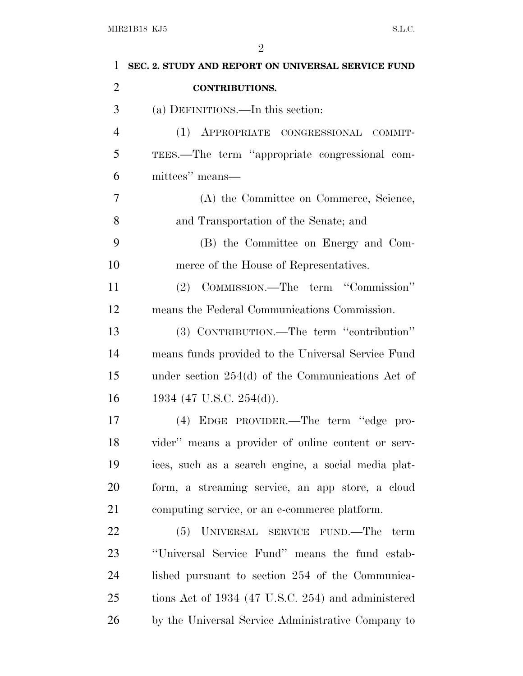| 1              | SEC. 2. STUDY AND REPORT ON UNIVERSAL SERVICE FUND  |
|----------------|-----------------------------------------------------|
| $\overline{2}$ | <b>CONTRIBUTIONS.</b>                               |
| 3              | (a) DEFINITIONS.—In this section:                   |
| $\overline{4}$ | (1) APPROPRIATE CONGRESSIONAL COMMIT-               |
| 5              | TEES.—The term "appropriate congressional com-      |
| 6              | mittees" means—                                     |
| $\overline{7}$ | (A) the Committee on Commerce, Science,             |
| 8              | and Transportation of the Senate; and               |
| 9              | (B) the Committee on Energy and Com-                |
| 10             | merce of the House of Representatives.              |
| 11             | (2) COMMISSION.—The term "Commission"               |
| 12             | means the Federal Communications Commission.        |
| 13             | (3) CONTRIBUTION.—The term "contribution"           |
| 14             | means funds provided to the Universal Service Fund  |
| 15             | under section $254(d)$ of the Communications Act of |
| 16             | 1934 (47 U.S.C. 254(d)).                            |
| 17             | (4) EDGE PROVIDER.—The term "edge pro-              |
| 18             | vider" means a provider of online content or serv-  |
| 19             | ices, such as a search engine, a social media plat- |
| 20             | form, a streaming service, an app store, a cloud    |
| 21             | computing service, or an e-commerce platform.       |
| 22             | (5) UNIVERSAL SERVICE FUND.—The term                |
| 23             | "Universal Service Fund" means the fund estab-      |
| 24             | lished pursuant to section 254 of the Communica-    |
| 25             | tions Act of 1934 (47 U.S.C. 254) and administered  |
| 26             | by the Universal Service Administrative Company to  |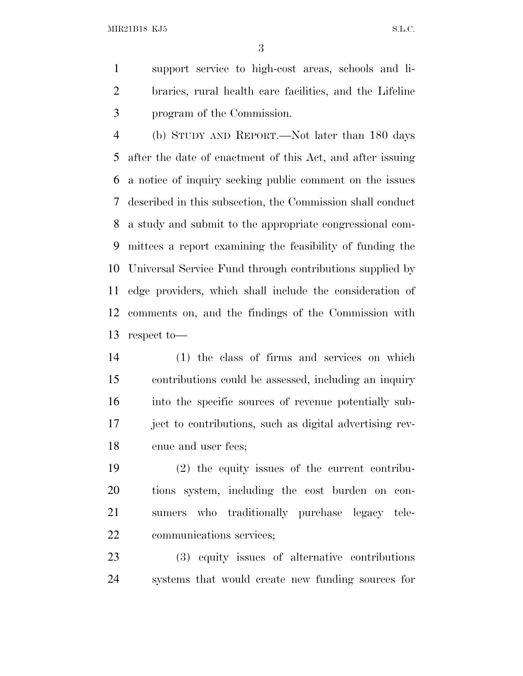MIR21B18 KJ5 S.L.C.

 support service to high-cost areas, schools and li- braries, rural health care facilities, and the Lifeline program of the Commission.

 (b) STUDY AND REPORT.—Not later than 180 days after the date of enactment of this Act, and after issuing a notice of inquiry seeking public comment on the issues described in this subsection, the Commission shall conduct a study and submit to the appropriate congressional com- mittees a report examining the feasibility of funding the Universal Service Fund through contributions supplied by edge providers, which shall include the consideration of comments on, and the findings of the Commission with respect to—

 (1) the class of firms and services on which contributions could be assessed, including an inquiry into the specific sources of revenue potentially sub- ject to contributions, such as digital advertising rev-enue and user fees;

 (2) the equity issues of the current contribu- tions system, including the cost burden on con- sumers who traditionally purchase legacy tele-communications services;

 (3) equity issues of alternative contributions systems that would create new funding sources for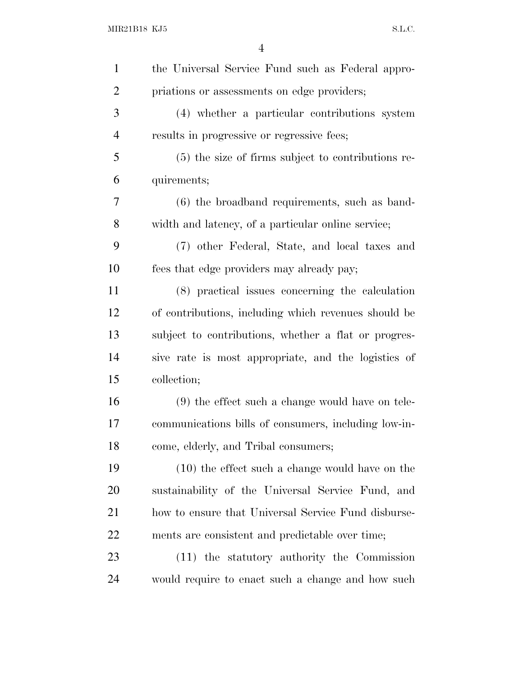| $\mathbf{1}$   | the Universal Service Fund such as Federal appro-    |
|----------------|------------------------------------------------------|
| $\overline{2}$ | priations or assessments on edge providers;          |
| 3              | (4) whether a particular contributions system        |
| $\overline{4}$ | results in progressive or regressive fees;           |
| 5              | (5) the size of firms subject to contributions re-   |
| 6              | quirements;                                          |
| 7              | $(6)$ the broadband requirements, such as band-      |
| 8              | width and latency, of a particular online service;   |
| 9              | (7) other Federal, State, and local taxes and        |
| 10             | fees that edge providers may already pay;            |
| 11             | (8) practical issues concerning the calculation      |
| 12             | of contributions, including which revenues should be |
| 13             | subject to contributions, whether a flat or progres- |
| 14             | sive rate is most appropriate, and the logistics of  |
| 15             | collection;                                          |
| 16             | $(9)$ the effect such a change would have on tele-   |
| 17             | communications bills of consumers, including low-in- |
| 18             | come, elderly, and Tribal consumers;                 |
| 19             | $(10)$ the effect such a change would have on the    |
| <b>20</b>      | sustainability of the Universal Service Fund, and    |
| 21             | how to ensure that Universal Service Fund disburse-  |
| 22             | ments are consistent and predictable over time;      |
| 23             | (11) the statutory authority the Commission          |
| 24             | would require to enact such a change and how such    |